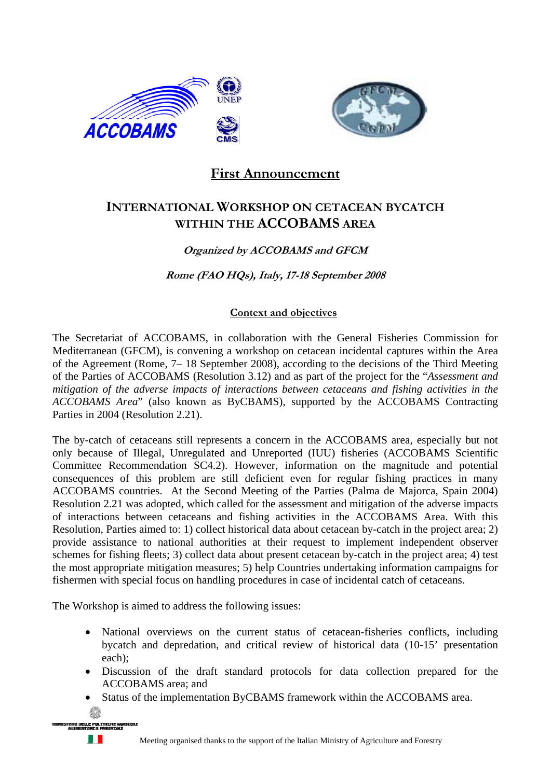



# **First Announcement**

# **INTERNATIONAL WORKSHOP ON CETACEAN BYCATCH WITHIN THE ACCOBAMS AREA**

# **Organized by ACCOBAMS and GFCM**

**Rome (FAO HQs), Italy, 17-18 September 2008** 

## **Context and objectives**

The Secretariat of ACCOBAMS, in collaboration with the General Fisheries Commission for Mediterranean (GFCM), is convening a workshop on cetacean incidental captures within the Area of the Agreement (Rome, 7– 18 September 2008), according to the decisions of the Third Meeting of the Parties of ACCOBAMS (Resolution 3.12) and as part of the project for the "*Assessment and mitigation of the adverse impacts of interactions between cetaceans and fishing activities in the ACCOBAMS Area*" (also known as ByCBAMS), supported by the ACCOBAMS Contracting Parties in 2004 (Resolution 2.21).

The by-catch of cetaceans still represents a concern in the ACCOBAMS area, especially but not only because of Illegal, Unregulated and Unreported (IUU) fisheries (ACCOBAMS Scientific Committee Recommendation SC4.2). However, information on the magnitude and potential consequences of this problem are still deficient even for regular fishing practices in many ACCOBAMS countries. At the Second Meeting of the Parties (Palma de Majorca, Spain 2004) Resolution 2.21 was adopted, which called for the assessment and mitigation of the adverse impacts of interactions between cetaceans and fishing activities in the ACCOBAMS Area. With this Resolution, Parties aimed to: 1) collect historical data about cetacean by-catch in the project area; 2) provide assistance to national authorities at their request to implement independent observer schemes for fishing fleets; 3) collect data about present cetacean by-catch in the project area; 4) test the most appropriate mitigation measures; 5) help Countries undertaking information campaigns for fishermen with special focus on handling procedures in case of incidental catch of cetaceans.

The Workshop is aimed to address the following issues:

- National overviews on the current status of cetacean-fisheries conflicts, including bycatch and depredation, and critical review of historical data (10-15' presentation each);
- Discussion of the draft standard protocols for data collection prepared for the ACCOBAMS area; and
- Status of the implementation ByCBAMS framework within the ACCOBAMS area.



. .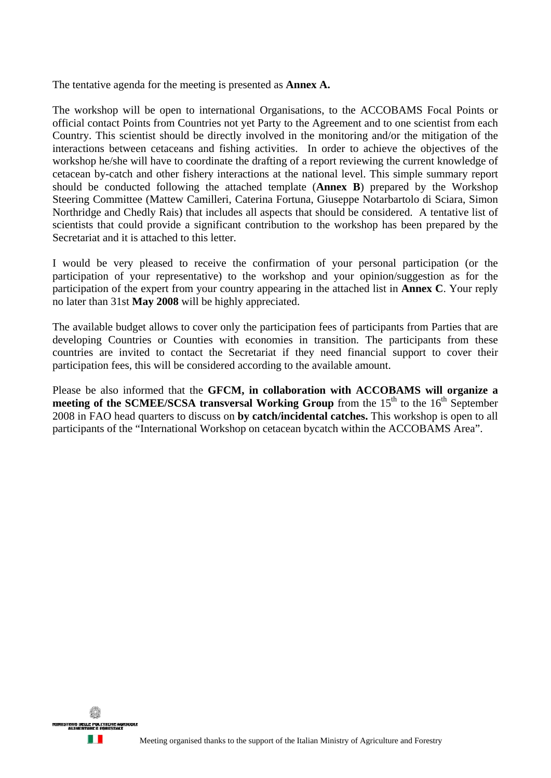The tentative agenda for the meeting is presented as **Annex A.** 

The workshop will be open to international Organisations, to the ACCOBAMS Focal Points or official contact Points from Countries not yet Party to the Agreement and to one scientist from each Country. This scientist should be directly involved in the monitoring and/or the mitigation of the interactions between cetaceans and fishing activities. In order to achieve the objectives of the workshop he/she will have to coordinate the drafting of a report reviewing the current knowledge of cetacean by-catch and other fishery interactions at the national level. This simple summary report should be conducted following the attached template (**Annex B**) prepared by the Workshop Steering Committee (Mattew Camilleri, Caterina Fortuna, Giuseppe Notarbartolo di Sciara, Simon Northridge and Chedly Rais) that includes all aspects that should be considered. A tentative list of scientists that could provide a significant contribution to the workshop has been prepared by the Secretariat and it is attached to this letter.

I would be very pleased to receive the confirmation of your personal participation (or the participation of your representative) to the workshop and your opinion/suggestion as for the participation of the expert from your country appearing in the attached list in **Annex C**. Your reply no later than 31st **May 2008** will be highly appreciated.

The available budget allows to cover only the participation fees of participants from Parties that are developing Countries or Counties with economies in transition. The participants from these countries are invited to contact the Secretariat if they need financial support to cover their participation fees, this will be considered according to the available amount.

Please be also informed that the **GFCM, in collaboration with ACCOBAMS will organize a meeting of the SCMEE/SCSA transversal Working Group** from the 15<sup>th</sup> to the 16<sup>th</sup> September 2008 in FAO head quarters to discuss on **by catch/incidental catches.** This workshop is open to all participants of the "International Workshop on cetacean bycatch within the ACCOBAMS Area".

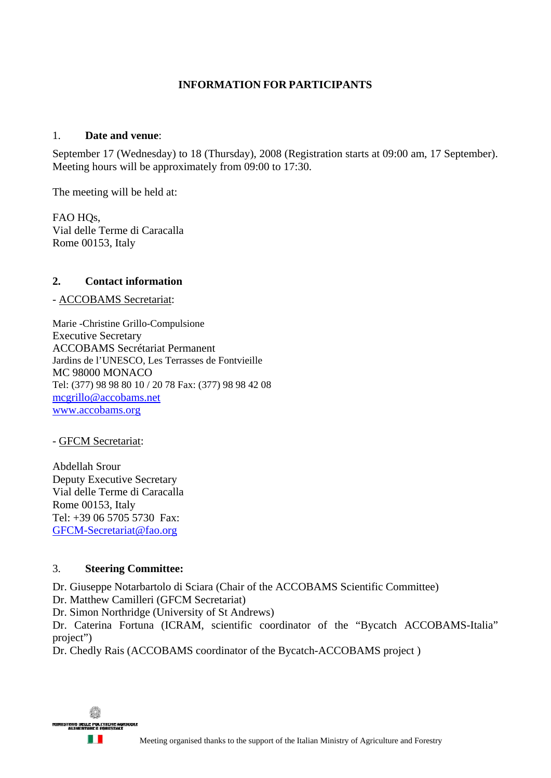## **INFORMATION FOR PARTICIPANTS**

#### 1. **Date and venue**:

September 17 (Wednesday) to 18 (Thursday), 2008 (Registration starts at 09:00 am, 17 September). Meeting hours will be approximately from 09:00 to 17:30.

The meeting will be held at:

FAO HO<sub>s</sub>. Vial delle Terme di Caracalla Rome 00153, Italy

## **2. Contact information**

#### - ACCOBAMS Secretariat:

Marie -Christine Grillo-Compulsione Executive Secretary ACCOBAMS Secrétariat Permanent Jardins de l'UNESCO, Les Terrasses de Fontvieille MC 98000 MONACO Tel: (377) 98 98 80 10 / 20 78 Fax: (377) 98 98 42 08 mcgrillo@accobams.net www.accobams.org

- GFCM Secretariat:

Abdellah Srour Deputy Executive Secretary Vial delle Terme di Caracalla Rome 00153, Italy Tel: +39 06 5705 5730 Fax: GFCM-Secretariat@fao.org

#### 3. **Steering Committee:**

Dr. Giuseppe Notarbartolo di Sciara (Chair of the ACCOBAMS Scientific Committee) Dr. Matthew Camilleri (GFCM Secretariat)

Dr. Simon Northridge (University of St Andrews)

Dr. Caterina Fortuna (ICRAM, scientific coordinator of the "Bycatch ACCOBAMS-Italia" project")

Dr. Chedly Rais (ACCOBAMS coordinator of the Bycatch-ACCOBAMS project )

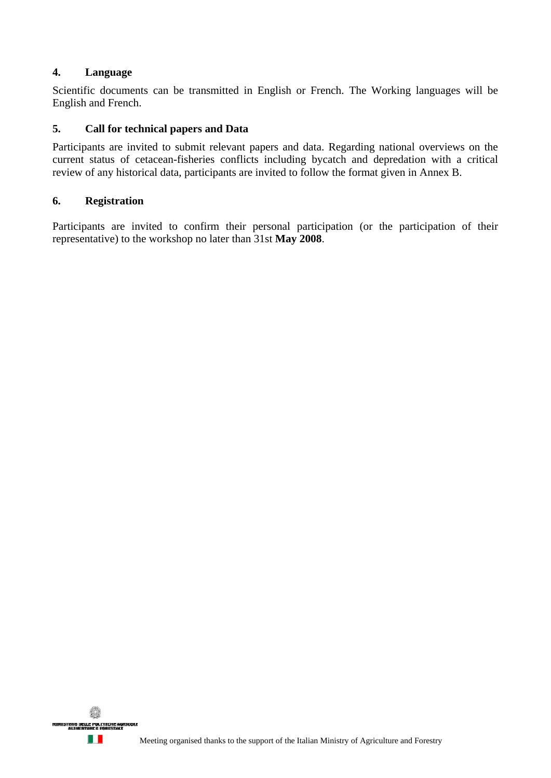## **4. Language**

Scientific documents can be transmitted in English or French. The Working languages will be English and French.

## **5. Call for technical papers and Data**

Participants are invited to submit relevant papers and data. Regarding national overviews on the current status of cetacean-fisheries conflicts including bycatch and depredation with a critical review of any historical data, participants are invited to follow the format given in Annex B.

#### **6. Registration**

Participants are invited to confirm their personal participation (or the participation of their representative) to the workshop no later than 31st **May 2008**.

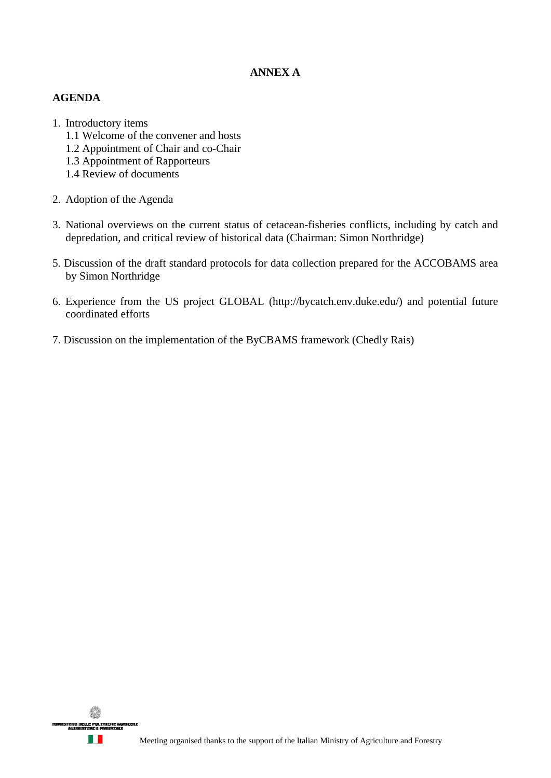## **ANNEX A**

## **AGENDA**

- 1. Introductory items
	- 1.1 Welcome of the convener and hosts
	- 1.2 Appointment of Chair and co-Chair
	- 1.3 Appointment of Rapporteurs
	- 1.4 Review of documents
- 2. Adoption of the Agenda
- 3. National overviews on the current status of cetacean-fisheries conflicts, including by catch and depredation, and critical review of historical data (Chairman: Simon Northridge)
- 5. Discussion of the draft standard protocols for data collection prepared for the ACCOBAMS area by Simon Northridge
- 6. Experience from the US project GLOBAL (http://bycatch.env.duke.edu/) and potential future coordinated efforts
- 7. Discussion on the implementation of the ByCBAMS framework (Chedly Rais)

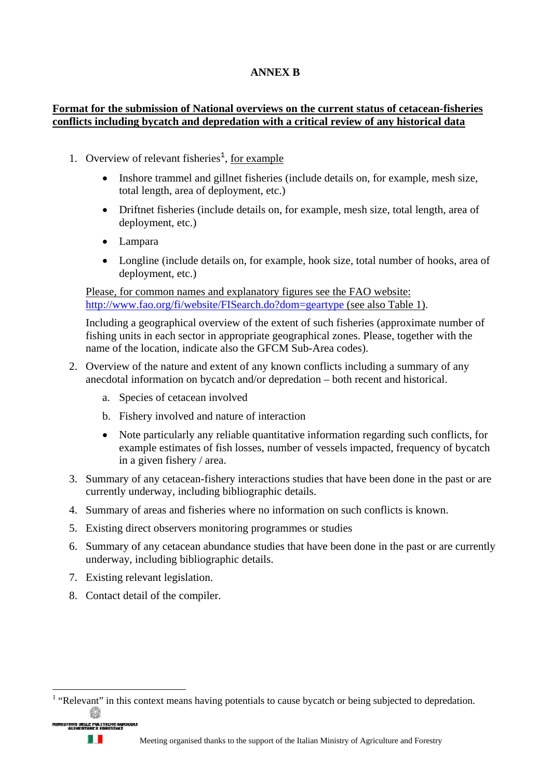# **ANNEX B**

## **Format for the submission of National overviews on the current status of cetacean-fisheries conflicts including bycatch and depredation with a critical review of any historical data**

- 1. Overview of relevant fisheries<sup>1</sup>, <u>for example</u>
	- Inshore trammel and gillnet fisheries (include details on, for example, mesh size, total length, area of deployment, etc.)
	- Driftnet fisheries (include details on, for example, mesh size, total length, area of deployment, etc.)
	- Lampara
	- Longline (include details on, for example, hook size, total number of hooks, area of deployment, etc.)

Please, for common names and explanatory figures see the FAO website: http://www.fao.org/fi/website/FISearch.do?dom=geartype (see also Table 1).

Including a geographical overview of the extent of such fisheries (approximate number of fishing units in each sector in appropriate geographical zones. Please, together with the name of the location, indicate also the GFCM Sub-Area codes).

- 2. Overview of the nature and extent of any known conflicts including a summary of any anecdotal information on bycatch and/or depredation – both recent and historical.
	- a. Species of cetacean involved
	- b. Fishery involved and nature of interaction
	- Note particularly any reliable quantitative information regarding such conflicts, for example estimates of fish losses, number of vessels impacted, frequency of bycatch in a given fishery / area.
- 3. Summary of any cetacean-fishery interactions studies that have been done in the past or are currently underway, including bibliographic details.
- 4. Summary of areas and fisheries where no information on such conflicts is known.
- 5. Existing direct observers monitoring programmes or studies
- 6. Summary of any cetacean abundance studies that have been done in the past or are currently underway, including bibliographic details.
- 7. Existing relevant legislation.
- 8. Contact detail of the compiler.

 $<sup>1</sup>$  "Relevant" in this context means having potentials to cause bycatch or being subjected to depredation.</sup>



 $\overline{a}$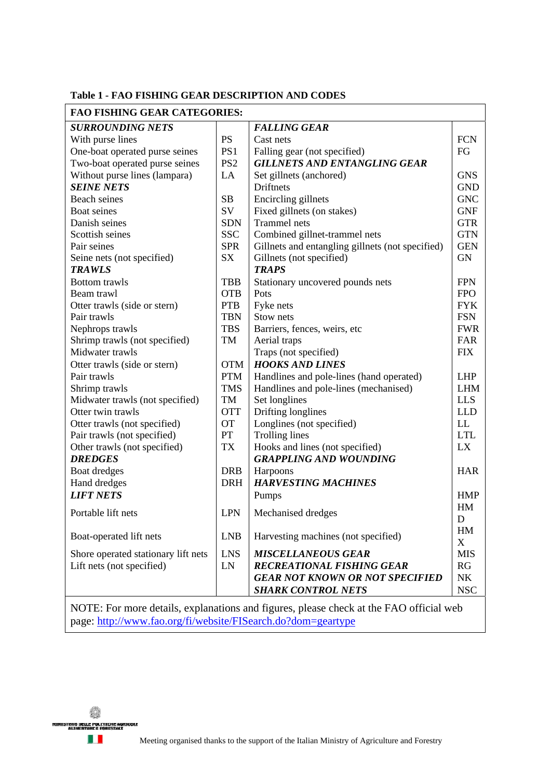#### **Table 1 - FAO FISHING GEAR DESCRIPTION AND CODES**

| <b>FAO FISHING GEAR CATEGORIES:</b>                                                    |                 |                                                  |                  |  |  |  |
|----------------------------------------------------------------------------------------|-----------------|--------------------------------------------------|------------------|--|--|--|
| <b>SURROUNDING NETS</b>                                                                |                 | <b>FALLING GEAR</b>                              |                  |  |  |  |
| With purse lines                                                                       | <b>PS</b>       | Cast nets                                        | <b>FCN</b>       |  |  |  |
| One-boat operated purse seines                                                         | PS1             | Falling gear (not specified)                     |                  |  |  |  |
| Two-boat operated purse seines                                                         | PS <sub>2</sub> | <b>GILLNETS AND ENTANGLING GEAR</b>              |                  |  |  |  |
| Without purse lines (lampara)                                                          | LA              | Set gillnets (anchored)                          |                  |  |  |  |
| <b>SEINE NETS</b>                                                                      |                 | Driftnets                                        | <b>GND</b>       |  |  |  |
| Beach seines                                                                           | SB              | Encircling gillnets                              | <b>GNC</b>       |  |  |  |
| Boat seines                                                                            | SV              | Fixed gillnets (on stakes)                       | <b>GNF</b>       |  |  |  |
| Danish seines                                                                          | <b>SDN</b>      | <b>Trammel</b> nets                              | <b>GTR</b>       |  |  |  |
| Scottish seines                                                                        | <b>SSC</b>      | Combined gillnet-trammel nets                    | <b>GTN</b>       |  |  |  |
| Pair seines                                                                            | <b>SPR</b>      | Gillnets and entangling gillnets (not specified) | <b>GEN</b>       |  |  |  |
| Seine nets (not specified)                                                             | <b>SX</b>       | Gillnets (not specified)                         |                  |  |  |  |
| <b>TRAWLS</b>                                                                          |                 | <b>TRAPS</b>                                     |                  |  |  |  |
| <b>Bottom</b> trawls                                                                   | <b>TBB</b>      | Stationary uncovered pounds nets                 | <b>FPN</b>       |  |  |  |
| Beam trawl                                                                             | <b>OTB</b>      | Pots                                             | <b>FPO</b>       |  |  |  |
| Otter trawls (side or stern)                                                           | <b>PTB</b>      | Fyke nets                                        | <b>FYK</b>       |  |  |  |
| Pair trawls                                                                            | <b>TBN</b>      | Stow nets                                        | <b>FSN</b>       |  |  |  |
| Nephrops trawls                                                                        | <b>TBS</b>      | Barriers, fences, weirs, etc                     | <b>FWR</b>       |  |  |  |
| Shrimp trawls (not specified)                                                          | TM              | Aerial traps                                     | FAR              |  |  |  |
| Midwater trawls                                                                        |                 | Traps (not specified)                            | <b>FIX</b>       |  |  |  |
| Otter trawls (side or stern)                                                           | <b>OTM</b>      | <b>HOOKS AND LINES</b>                           |                  |  |  |  |
| Pair trawls                                                                            | <b>PTM</b>      | Handlines and pole-lines (hand operated)         | <b>LHP</b>       |  |  |  |
| Shrimp trawls                                                                          | <b>TMS</b>      | Handlines and pole-lines (mechanised)            | <b>LHM</b>       |  |  |  |
| Midwater trawls (not specified)                                                        | TM              | Set longlines                                    | <b>LLS</b>       |  |  |  |
| Otter twin trawls                                                                      | <b>OTT</b>      | Drifting longlines                               | <b>LLD</b>       |  |  |  |
| Otter trawls (not specified)                                                           | <b>OT</b>       | Longlines (not specified)                        | LL               |  |  |  |
| Pair trawls (not specified)                                                            | PT              | <b>Trolling lines</b>                            | <b>LTL</b>       |  |  |  |
| Other trawls (not specified)                                                           | <b>TX</b>       | Hooks and lines (not specified)                  | LX               |  |  |  |
| <b>DREDGES</b>                                                                         |                 | <b>GRAPPLING AND WOUNDING</b>                    |                  |  |  |  |
| Boat dredges                                                                           | <b>DRB</b>      | Harpoons                                         | <b>HAR</b>       |  |  |  |
| Hand dredges                                                                           | <b>DRH</b>      | <b>HARVESTING MACHINES</b>                       |                  |  |  |  |
| <b>LIFT NETS</b>                                                                       |                 | Pumps                                            |                  |  |  |  |
|                                                                                        |                 |                                                  | <b>HMP</b><br>HM |  |  |  |
| Portable lift nets                                                                     | <b>LPN</b>      | Mechanised dredges                               | D                |  |  |  |
|                                                                                        |                 |                                                  | HM               |  |  |  |
| Boat-operated lift nets                                                                | <b>LNB</b>      | Harvesting machines (not specified)              | X                |  |  |  |
| Shore operated stationary lift nets                                                    | <b>LNS</b>      | <b>MISCELLANEOUS GEAR</b>                        | <b>MIS</b>       |  |  |  |
| Lift nets (not specified)                                                              | ${\rm LN}$      | <b>RECREATIONAL FISHING GEAR</b>                 | RG               |  |  |  |
|                                                                                        |                 | <b>GEAR NOT KNOWN OR NOT SPECIFIED</b>           | ${\rm N}{\rm K}$ |  |  |  |
|                                                                                        |                 | <b>SHARK CONTROL NETS</b>                        | <b>NSC</b>       |  |  |  |
|                                                                                        |                 |                                                  |                  |  |  |  |
| NOTE: For more details, explanations and figures, please check at the FAO official web |                 |                                                  |                  |  |  |  |

page: http://www.fao.org/fi/website/FISearch.do?dom=geartype

ę, **INISTERD DELLE POLITICI**<br>ALIMENTARE E FARE n I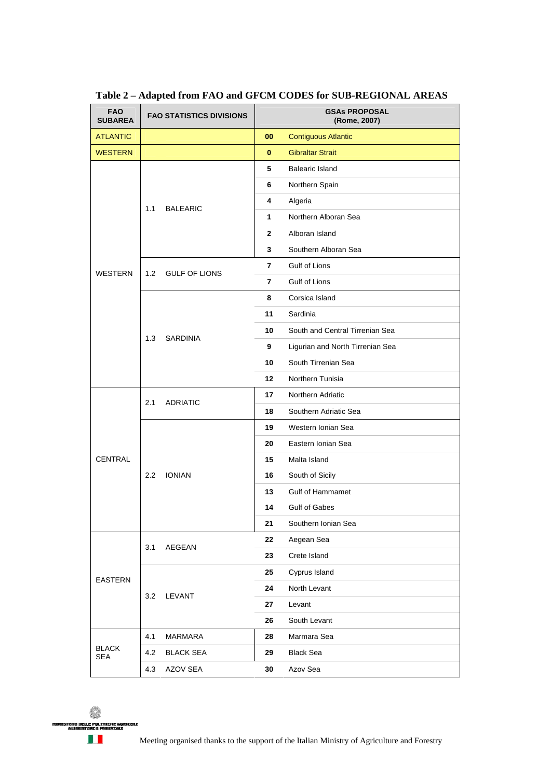| <b>FAO</b><br><b>SUBAREA</b> |     | <b>FAO STATISTICS DIVISIONS</b> | <b>GSAs PROPOSAL</b><br>(Rome, 2007) |                                  |
|------------------------------|-----|---------------------------------|--------------------------------------|----------------------------------|
| <b>ATLANTIC</b>              |     |                                 | 00                                   | <b>Contiguous Atlantic</b>       |
| <b>WESTERN</b>               |     |                                 | 0                                    | <b>Gibraltar Strait</b>          |
|                              |     | <b>BALEARIC</b>                 | 5                                    | Balearic Island                  |
|                              |     |                                 | 6                                    | Northern Spain                   |
|                              | 1.1 |                                 | 4                                    | Algeria                          |
|                              |     |                                 | 1                                    | Northern Alboran Sea             |
|                              |     |                                 | $\mathbf{2}$                         | Alboran Island                   |
|                              |     |                                 | 3                                    | Southern Alboran Sea             |
|                              | 1.2 | <b>GULF OF LIONS</b>            | 7                                    | Gulf of Lions                    |
| <b>WESTERN</b>               |     |                                 | 7                                    | Gulf of Lions                    |
|                              |     | <b>SARDINIA</b>                 | 8                                    | Corsica Island                   |
|                              |     |                                 | 11                                   | Sardinia                         |
|                              |     |                                 | 10                                   | South and Central Tirrenian Sea  |
|                              | 1.3 |                                 | 9                                    | Ligurian and North Tirrenian Sea |
|                              |     |                                 | 10                                   | South Tirrenian Sea              |
|                              |     |                                 | 12                                   | Northern Tunisia                 |
|                              |     | <b>ADRIATIC</b>                 | 17                                   | Northern Adriatic                |
|                              | 2.1 |                                 | 18                                   | Southern Adriatic Sea            |
|                              | 2.2 |                                 | 19                                   | Western Ionian Sea               |
|                              |     | <b>IONIAN</b>                   | 20                                   | Eastern Ionian Sea               |
| <b>CENTRAL</b>               |     |                                 | 15                                   | Malta Island                     |
|                              |     |                                 | 16                                   | South of Sicily                  |
|                              |     |                                 | 13                                   | <b>Gulf of Hammamet</b>          |
|                              |     |                                 | 14                                   | <b>Gulf of Gabes</b>             |
|                              |     |                                 | 21                                   | Southern Ionian Sea              |
| EASTERN                      | 3.1 | AEGEAN                          | 22                                   | Aegean Sea                       |
|                              |     |                                 | 23                                   | Crete Island                     |
|                              | 3.2 | LEVANT                          | 25                                   | Cyprus Island                    |
|                              |     |                                 | 24                                   | North Levant                     |
|                              |     |                                 | 27                                   | Levant                           |
|                              |     |                                 | 26                                   | South Levant                     |
| <b>BLACK</b><br><b>SEA</b>   | 4.1 | <b>MARMARA</b>                  | 28                                   | Marmara Sea                      |
|                              | 4.2 | <b>BLACK SEA</b>                | 29                                   | <b>Black Sea</b>                 |
|                              | 4.3 | AZOV SEA                        | 30                                   | Azov Sea                         |

**Table 2 – Adapted from FAO and GFCM CODES for SUB-REGIONAL AREAS** 

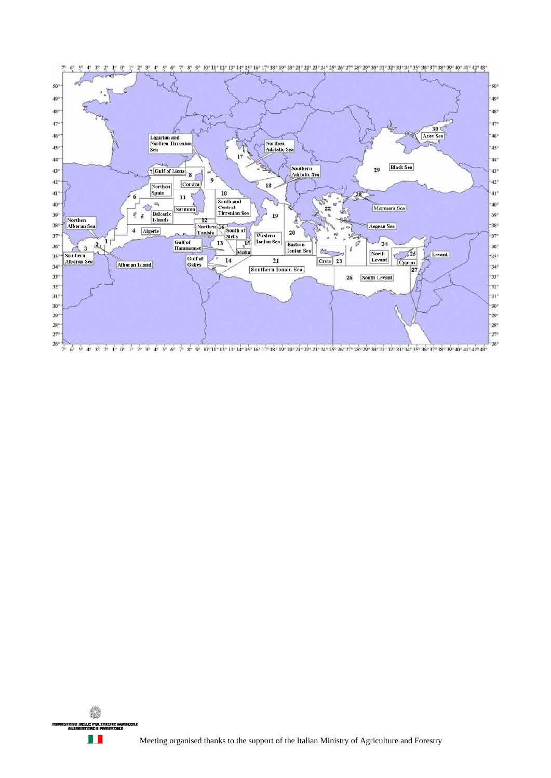